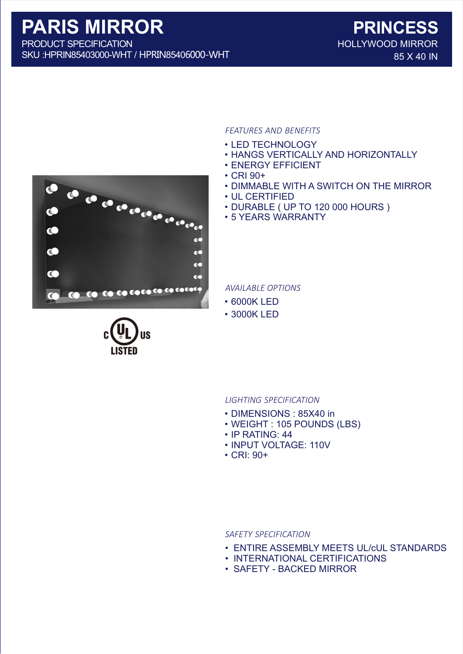SKU :HPRIN85403000-WHT / HPRIN85406000-WHT

# *FEATURES AND BENEFITS*

- LED TECHNOLOGY
- HANGS VERTICALLY AND HORIZONTALLY
- ENERGY EFFICIENT
- CRI 90+
- DIMMABLE WITH A SWITCH ON THE MIRROR
- UL CERTIFIED
- DURABLE ( UP TO 120 000 HOURS )
- 5 YEARS WARRANTY

*AVAILABLE OPTIONS*

- 6000K LED
- 3000K LED

- *LIGHTING SPECIFICATION*
- DIMENSIONS : 85X40 in
- WEIGHT : 105 POUNDS (LBS)
- IP RATING: 44
- INPUT VOLTAGE: 110V
- CRI: 90+

#### *SAFETY SPECIFICATION*

- ENTIRE ASSEMBLY MEETS UL/cUL STANDARDS
- INTERNATIONAL CERTIFICATIONS
- SAFETY BACKED MIRROR



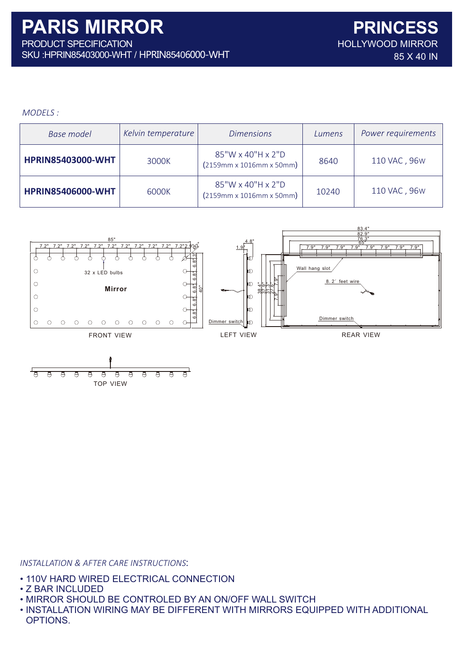## *MODELS :*

| <b>Base model</b>        | Kelvin temperature | <b>Dimensions</b>                                         | Lumens | Power requirements |
|--------------------------|--------------------|-----------------------------------------------------------|--------|--------------------|
| <b>HPRIN85403000-WHT</b> | 3000K              | 85"W x 40"H x 2"D<br>$(2159mm \times 1016mm \times 50mm)$ | 8640   | 110 VAC, 96W       |
| <b>HPRIN85406000-WHT</b> | 6000K              | 85"W x 40"H x 2"D<br>$(2159mm \times 1016mm \times 50mm)$ | 10240  | 110 VAC, 96W       |





*INSTALLATION & AFTER CARE INSTRUCTIONS*:

- 110V HARD WIRED ELECTRICAL CONNECTION
- Z BAR INCLUDED
- MIRROR SHOULD BE CONTROLED BY AN ON/OFF WALL SWITCH
- INSTALLATION WIRING MAY BE DIFFERENT WITH MIRRORS EQUIPPED WITH ADDITIONAL OPTIONS.